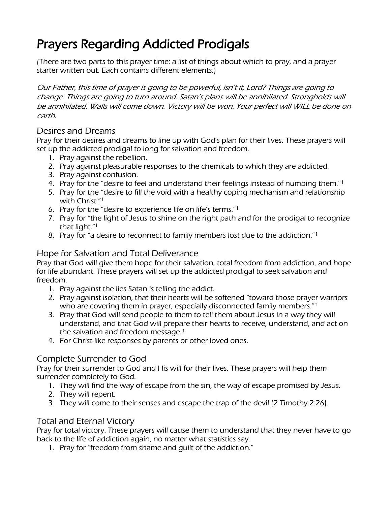# Prayers Regarding Addicted Prodigals

(There are two parts to this prayer time: a list of things about which to pray, and a prayer starter written out. Each contains different elements.)

Our Father, this time of prayer is going to be powerful, isn't it, Lord? Things are going to change. Things are going to turn around. Satan's plans will be annihilated. Strongholds will be annihilated. Walls will come down. Victory will be won. Your perfect will WILL be done on earth.

## Desires and Dreams

Pray for their desires and dreams to line up with God's plan for their lives. These prayers will set up the addicted prodigal to long for salvation and freedom.

- 1. Pray against the rebellion.
- 2. Pray against pleasurable responses to the chemicals to which they are addicted.
- 3. Pray against confusion.
- 4. Pray for the "desire to feel and understand their feelings instead of numbing them."<sup>1</sup>
- 5. Pray for the "desire to fill the void with a healthy coping mechanism and relationship with Christ." 1
- 6. Pray for the "desire to experience life on life's terms."<sup>1</sup>
- 7. Pray for "the light of Jesus to shine on the right path and for the prodigal to recognize that light." 1
- 8. Pray for "a desire to reconnect to family members lost due to the addiction."<sup>1</sup>

### Hope for Salvation and Total Deliverance

Pray that God will give them hope for their salvation, total freedom from addiction, and hope for life abundant. These prayers will set up the addicted prodigal to seek salvation and freedom.

- 1. Pray against the lies Satan is telling the addict.
- 2. Pray against isolation, that their hearts will be softened "toward those prayer warriors who are covering them in prayer, especially disconnected family members.<sup>"1</sup>
- 3. Pray that God will send people to them to tell them about Jesus in a way they will understand, and that God will prepare their hearts to receive, understand, and act on the salvation and freedom message. 1
- 4. For Christ-like responses by parents or other loved ones.

## Complete Surrender to God

Pray for their surrender to God and His will for their lives. These prayers will help them surrender completely to God.

- 1. They will find the way of escape from the sin, the way of escape promised by Jesus.
- 2. They will repent.
- 3. They will come to their senses and escape the trap of the devil (2 Timothy 2:26).

#### Total and Eternal Victory

Pray for total victory. These prayers will cause them to understand that they never have to go back to the life of addiction again, no matter what statistics say.

1. Pray for "freedom from shame and guilt of the addiction."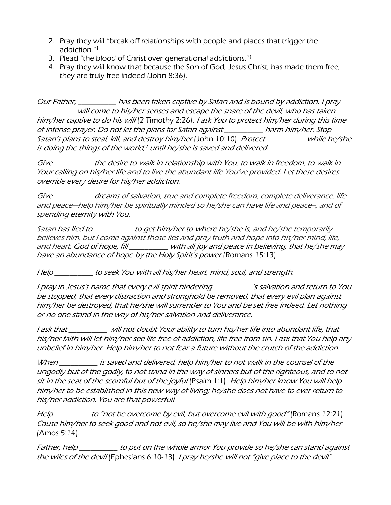- 2. Pray they will "break off relationships with people and places that trigger the addiction." 1
- 3. Plead "the blood of Christ over generational addictions."<sup>1</sup>
- 4. Pray they will know that because the Son of God, Jesus Christ, has made them free, they are truly free indeed (John 8:36).

Our Father, \_\_\_\_\_\_\_\_\_\_ has been taken captive by Satan and is bound by addiction. I pray \_\_\_\_\_\_\_\_\_\_ will come to his/her senses and escape the snare of the devil, who has taken him/her captive to do his will (2 Timothy 2:26). I ask You to protect him/her during this time of intense prayer. Do not let the plans for Satan against \_\_\_\_\_\_\_\_\_\_ harm him/her. Stop Satan's plans to steal, kill, and destroy him/her (John 10:10). Protect while he/she is doing the things of the world,<sup>1</sup> until he/she is saved and delivered.

Give \_\_\_\_\_\_\_\_\_\_ the desire to walk in relationship with You, to walk in freedom, to walk in Your calling on his/her life and to live the abundant life You've provided. Let these desires override every desire for his/her addiction.

Give \_\_\_\_\_\_\_\_\_\_ dreams of salvation, true and complete freedom, complete deliverance, life and peace—help him/her be spiritually minded so he/she can have life and peace--, and of spending eternity with You.

Satan has lied to \_\_\_\_\_\_\_\_\_\_ to get him/her to where he/she is, and he/she temporarily believes him, but I come against those lies and pray truth and hope into his/her mind, life, and heart. God of hope, fill \_\_\_\_\_\_\_\_\_\_ with all joy and peace in believing, that he/she may have an abundance of hope by the Holy Spirit's power (Romans 15:13).

Help \_\_\_\_\_\_\_\_\_\_ to seek You with all his/her heart, mind, soul, and strength.

I pray in Jesus's name that every evil spirit hindering \_\_\_\_\_\_\_\_\_\_'s salvation and return to You be stopped, that every distraction and stronghold be removed, that every evil plan against him/her be destroyed, that he/she will surrender to You and be set free indeed. Let nothing or no one stand in the way of his/her salvation and deliverance.

I ask that \_\_\_\_\_\_\_\_\_\_ will not doubt Your ability to turn his/her life into abundant life, that his/her faith will let him/her see life free of addiction, life free from sin. I ask that You help any unbelief in him/her. Help him/her to not fear a future without the crutch of the addiction.

When \_\_\_\_\_\_\_\_\_ is saved and delivered, help him/her to not walk in the counsel of the ungodly but of the godly, to not stand in the way of sinners but of the righteous, and to not sit in the seat of the scornful but of the joyful (Psalm 1:1). Help him/her know You will help him/her to be established in this new way of living; he/she does not have to ever return to his/her addiction. You are that powerful!

Help to "not be overcome by evil, but overcome evil with good" (Romans 12:21). Cause him/her to seek good and not evil, so he/she may live and You will be with him/her (Amos 5:14).

Father, help \_\_\_\_\_\_\_\_\_\_\_ to put on the whole armor You provide so he/she can stand against the wiles of the devil (Ephesians 6:10-13). I pray he/she will not "give place to the devil"